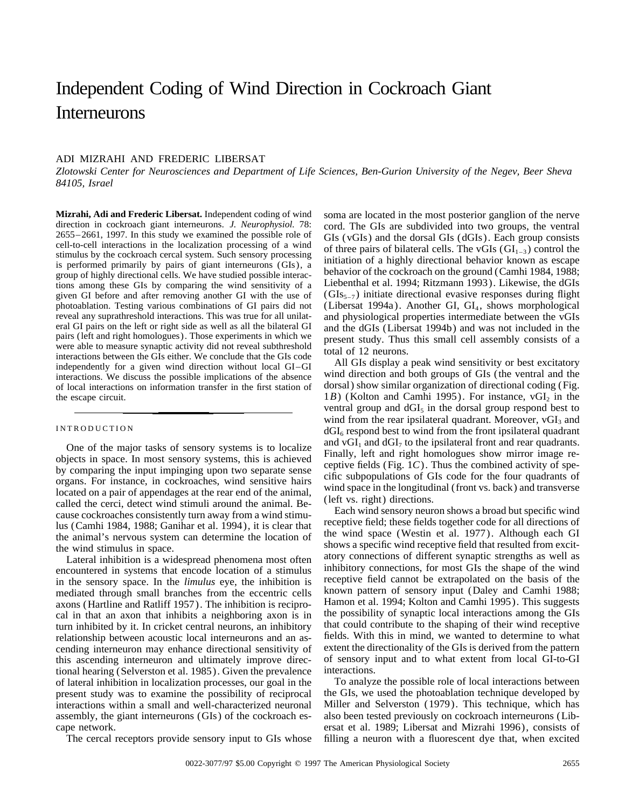# Independent Coding of Wind Direction in Cockroach Giant Interneurons

## ADI MIZRAHI AND FREDERIC LIBERSAT

*Zlotowski Center for Neurosciences and Department of Life Sciences, Ben-Gurion University of the Negev, Beer Sheva 84105, Israel*

**Mizrahi, Adi and Frederic Libersat.** Independent coding of wind soma are located in the most posterior ganglion of the nerve direction in cockroach giant interneurons. J. Neurophysiol. 78: cord. The GIs are subdivided int direction in cockroach giant interneurons. *J. Neurophysiol.* 78: cord. The GIs are subdivided into two groups, the ventral 2655–2661, 1997. In this study we examined the possible role of GIs (vGIs) and the dorsal GIs (dG given GI before and after removing another GI with the use of  $(GIs_{5-7})$  initiate directional evasive responses during flight photoablation. Testing various combinations of GI pairs did not (Libersat 1994a). Another GI, GI<sub>4</sub>, shows morphological reveal any suprathreshold interactions. This was true for all unilated and physiological properties reveal any suprathreshold interactions. This was true for all unilat-<br>eral GI pairs on the left or right side as well as all the bilateral GI and the dGIs (Libersat 1994b) and was not included in the eral GI pairs on the left or right side as well as all the bilateral GI and the dGIs (Libersat 1994b) and was not included in the pairs (left and right homologues). Those experiments in which we able to measure synaptic ac interactions. We discuss the possible implications of the absence wind direction and both groups of GIs (the ventral and the of local interactions on information transfer in the first station of dorsal) show similar organi the escape circuit. 1*B*) (Kolton and Camhi 1995). For instance, vGI<sub>2</sub> in the

One of the major tasks of sensory systems is to localize and vGI, and dGI, to the ipsilateral front and rear quadrants.<br>
objects in space. In most sensory systems, this is achieved Finally, left and right homologues show m

in the sensory space. In the *limulus* eye, the inhibition is receptive field cannot be extrapolated on the basis of the mediated through small branches from the eccentric cells known pattern of sensory input (Daley and Ca axons (Hartline and Ratliff 1957). The inhibition is recipro-<br>cal in that an axon that inhibits a neighboring axon is in the possibility of synaptic local interactions among the GIs turn inhibited by it. In cricket central neurons, an inhibitory that could contribute to the shaping of their wind receptive relationship between acoustic local interneurons and an as-<br>fields. With this in mind, we wanted relationship between acoustic local interneurons and an ascending interneuron may enhance directional sensitivity of extent the directionality of the GIs is derived from the pattern this ascending interneuron and ultimately improve direc- of sensory input and to what extent from local GI-to-GI tional hearing (Selverston et al. 1985). Given the prevalence interactions. tional hearing (Selverston et al. 1985). Given the prevalence of lateral inhibition in localization processes, our goal in the To analyze the possible role of local interactions between present study was to examine the possibility of reciprocal the GIs, we used the photoablation technique developed by interactions within a small and well-characterized neuronal Miller and Selverston (1979). This technique, which has assembly, the giant interneurons (GIs) of the cockroach es- also been tested previously on cockroach interneurons (Libcape network. ersat et al. 1989; Libersat and Mizrahi 1996), consists of

ventral group and  $dGI_5$  in the dorsal group respond best to wind from the rear ipsilateral quadrant. Moreover,  $vGI<sub>3</sub>$  and INTRODUCTION  $dGI_6$  respond best to wind from the front ipsilateral quadrant<br>One of the major tecks of sensory systems is to localize and  $vGI_1$  and  $dGI_7$  to the ipsilateral front and rear quadrants.

The cercal receptors provide sensory input to GIs whose filling a neuron with a fluorescent dye that, when excited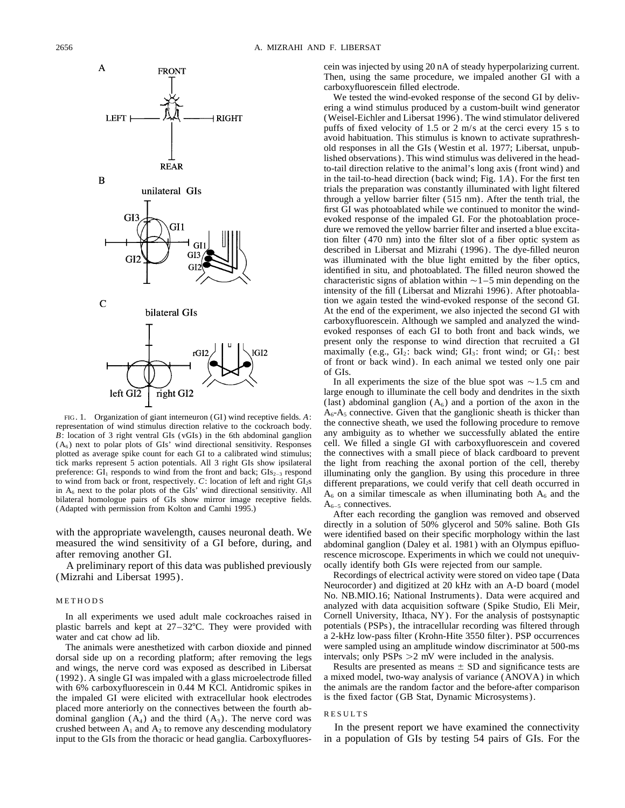

*B*: location of 3 right ventral GIs (vGIs) in the 6th abdominal ganglion  $(A_6)$  next to polar plots of GIs' wind directional sensitivity. Responses preference:  $GI_1$  responds to wind from the front and back;  $GI_{52-3}$  respond<br>to wind from back or front, respectively. C: location of left and right  $GI_2$ s<br>in  $A_6$  next to the polar plots of the GIs' wind directional se

A preliminary report of this data was published previously (Mizrahi and Libersat 1995). Recordings of electrical activity were stored on video tape (Data

The animals were anesthetized with carbon dioxide and pinned were sampled using an amplitude window discriminator at 5 or a recording platform; after removing the legs intervals; only PSPs  $>2$  mV were included in the ana dorsal side up on a recording platform; after removing the legs and wings, the nerve cord was exposed as described in Libersat Results are presented as means  $\pm$  SD and significance tests are (1992). A single GI was impaled with a glass microelectrode filled a mixed model, two-way analysis of variance (ANOVA) in which with 6% carboxyfluorescein in 0.44 M KCl. Antidromic spikes in the animals are the random factor and the before-after of the impaled GI were elicited with extracellular hook electrodes is the fixed factor (GB Stat, Dynamic the impaled GI were elicited with extracellular hook electrodes placed more anteriorly on the connectives between the fourth ab-<br>dominal ganglion  $(A_4)$  and the third  $(A_3)$ . The nerve cord was RESULTS crushed between  $A_1$  and  $A_2$  to remove any descending modulatory In the present report we have examined the connectivity

cein was injected by using 20 nA of steady hyperpolarizing current. Then, using the same procedure, we impaled another GI with a carboxyfluorescein filled electrode.

We tested the wind-evoked response of the second GI by delivering a wind stimulus produced by a custom-built wind generator (Weisel-Eichler and Libersat 1996). The wind stimulator delivered puffs of fixed velocity of 1.5 or 2 m/s at the cerci every 15 s to avoid habituation. This stimulus is known to activate suprathreshold responses in all the GIs (Westin et al. 1977; Libersat, unpublished observations). This wind stimulus was delivered in the headto-tail direction relative to the animal's long axis (front wind) and in the tail-to-head direction (back wind; Fig. 1*A*). For the first ten trials the preparation was constantly illuminated with light filtered through a yellow barrier filter (515 nm). After the tenth trial, the first GI was photoablated while we continued to monitor the windevoked response of the impaled GI. For the photoablation procedure we removed the yellow barrier filter and inserted a blue excitation filter (470 nm) into the filter slot of a fiber optic system as described in Libersat and Mizrahi (1996). The dye-filled neuron was illuminated with the blue light emitted by the fiber optics, identified in situ, and photoablated. The filled neuron showed the characteristic signs of ablation within  $\sim$  1–5 min depending on the intensity of the fill (Libersat and Mizrahi 1996). After photoablation we again tested the wind-evoked response of the second GI. At the end of the experiment, we also injected the second GI with carboxyfluorescein. Although we sampled and analyzed the windevoked responses of each GI to both front and back winds, we present only the response to wind direction that recruited a GI maximally (e.g.,  $GI_2$ : back wind;  $GI_3$ : front wind; or  $GI_1$ : best of front or back wind). In each animal we tested only one pair of GIs.

In all experiments the size of the blue spot was  $\sim$ 1.5 cm and large enough to illuminate the cell body and dendrites in the sixth (last) abdominal ganglion  $(A<sub>6</sub>)$  and a portion of the axon in the FIG. 1. Organization of giant interneuron (GI) wind receptive fields. A:  $A_6-A_5$  connective. Given that the ganglionic sheath is thicker than<br>representation of wind stimulus direction relative to the cockroach body.<br>R: l cell. We filled a single GI with carboxyfluorescein and covered plotted as average spike count for each GI to a calibrated wind stimulus; the connectives with a small piece of black cardboard to prevent tick marks represent 5 action potentials. All 3 right GIs show ipsilateral the light from reaching the axonal portion of the cell, thereby preference: GI<sub>1</sub> responds to wind from the front and back; GIs<sub>2-3</sub> respond illumi

directly in a solution of 50% glycerol and 50% saline. Both GIs<br>with the appropriate wavelength, causes neuronal death. We<br>measured the wind sensitivity of a GI before, during, and abdominal ganglion (Daley et al. 1981) wi abdominal ganglion (Daley et al. 1981) with an Olympus epifluoafter removing another GI.<br>A preliminary report of this data was published previously ocally identify both GIs were rejected from our sample.

Neurocorder) and digitized at 20 kHz with an A-D board (model No. NB.MIO.16; National Instruments). Data were acquired and analyzed with data acquisition software (Spike Studio, Eli Meir, In all experiments we used adult male cockroaches raised in Cornell University, Ithaca, NY). For the analysis of postsynaptic plastic barrels and kept at 27–327C. They were provided with potentials (PSPs), the intracellular recording was filtered through water and cat chow ad lib.<br>The animals were anesthetized with carbon dioxide and pinned were sampled using an amplitude window discriminator at 500-ms

input to the GIs from the thoracic or head ganglia. Carboxyfluores- in a population of GIs by testing 54 pairs of GIs. For the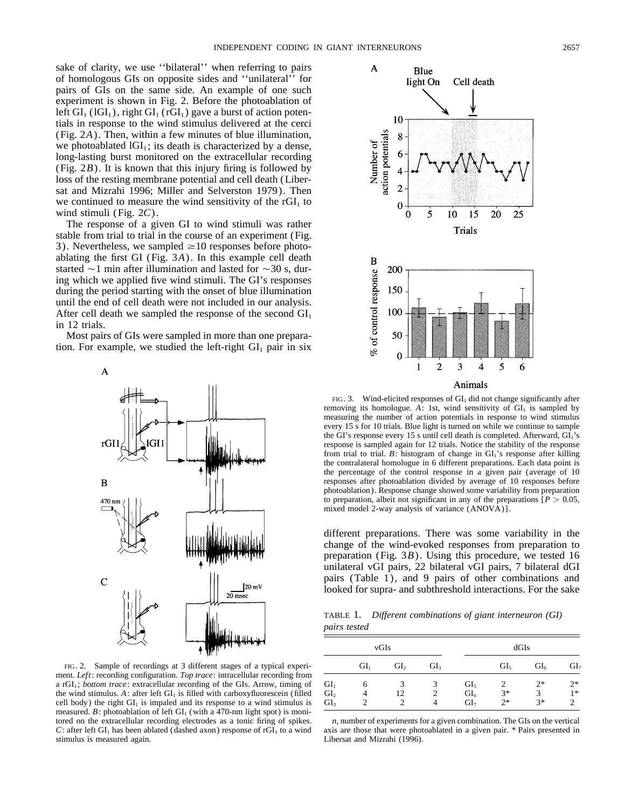sake of clarity, we use ''bilateral'' when referring to pairs of homologous GIs on opposite sides and ''unilateral'' for pairs of GIs on the same side. An example of one such experiment is shown in Fig. 2. Before the photoablation of left  $GI_1 (IGI_1)$ , right  $GI_1 (rGI_1)$  gave a burst of action potentials in response to the wind stimulus delivered at the cerci (Fig. 2*A*). Then, within a few minutes of blue illumination, we photoablated  $IGI<sub>1</sub>$ ; its death is characterized by a dense, long-lasting burst monitored on the extracellular recording (Fig. 2*B*). It is known that this injury firing is followed by loss of the resting membrane potential and cell death (Libersat and Mizrahi 1996; Miller and Selverston 1979). Then we continued to measure the wind sensitivity of the  $rGI<sub>1</sub>$  to wind stimuli (Fig. 2*C*).

The response of a given GI to wind stimuli was rather stable from trial to trial in the course of an experiment (Fig. 3). Nevertheless, we sampled  $\geq$ 10 responses before photoablating the first GI (Fig. 3*A*). In this example cell death started  $\sim$ 1 min after illumination and lasted for  $\sim$ 30 s, during which we applied five wind stimuli. The GI's responses during the period starting with the onset of blue illumination until the end of cell death were not included in our analysis. After cell death we sampled the response of the second  $GI<sub>1</sub>$ in 12 trials.

Most pairs of GIs were sampled in more than one preparation. For example, we studied the left-right  $GI_1$  pair in six



FIG. 2. Sample of recordings at 3 different stages of a typical experiment. *Left*: recording configuration. *Top trace*: intracellular recording from a rGI<sub>1</sub>; *bottom trace*: extracellular recording of the GIs. Arrow, timing of the wind stimulus.  $A$ : after left  $GI<sub>1</sub>$  is filled with carboxyfluorescein (filled cell body) the right  $GI<sub>1</sub>$  is impaled and its response to a wind stimulus is measured.  $B$ : photoablation of left  $GI<sub>1</sub>$  (with a 470-nm light spot) is monitored on the extracellular recording electrodes as a tonic firing of spikes. *n,* number of experiments for a given combination. The GIs on the vertical *C*: after left GI<sub>1</sub> has been ablated (dashed axon) response of rGI<sub>1</sub> to a wind axis are those that were photoablated in a given pair. \* Pairs presented in stimulus is measured again. Libersat and Mizrahi (1996).



FIG. 3. Wind-elicited responses of  $GI_1$  did not change significantly after removing its homologue.  $\overline{A}$ : 1st, wind sensitivity of  $\overline{GI_1}$  is sampled by measuring the number of action potentials in response to wind stimulus every 15 s for 10 trials. Blue light is turned on while we continue to sample the GI's response every 15 s until cell death is completed. Afterward, GI1's response is sampled again for 12 trials. Notice the stability of the response from trial to trial.  $B$ : histogram of change in  $GI<sub>1</sub>$ 's response after killing the contralateral homologue in 6 different preparations. Each data point is the percentage of the control response in a given pair (average of 10 responses after photoablation divided by average of 10 responses before photoablation). Response change showed some variability from preparation to preparation, albeit not significant in any of the preparations  $[P > 0.05]$ , mixed model 2-way analysis of variance (ANOVA)].

different preparations. There was some variability in the change of the wind-evoked responses from preparation to preparation (Fig. 3*B*). Using this procedure, we tested 16 unilateral vGI pairs, 22 bilateral vGI pairs, 7 bilateral dGI pairs (Table 1), and 9 pairs of other combinations and looked for supra- and subthreshold interactions. For the sake

TABLE 1. *Different combinations of giant interneuron (GI) pairs tested*

|                                    | vGIs            |                 |                 |                                    | dGIs            |                 |                 |  |
|------------------------------------|-----------------|-----------------|-----------------|------------------------------------|-----------------|-----------------|-----------------|--|
|                                    | GI <sub>1</sub> | GI <sub>2</sub> | GI <sub>3</sub> |                                    | GI <sub>5</sub> | Gl <sub>6</sub> | GI <sub>7</sub> |  |
| GI <sub>1</sub>                    | 6               |                 | 3               | GI <sub>5</sub>                    |                 | $2*$            | $2*$            |  |
| GI <sub>2</sub><br>GI <sub>3</sub> |                 | 12              | 4               | GI <sub>6</sub><br>GI <sub>7</sub> | $3*$<br>$2*$    | 3<br>$3*$       | $1*$            |  |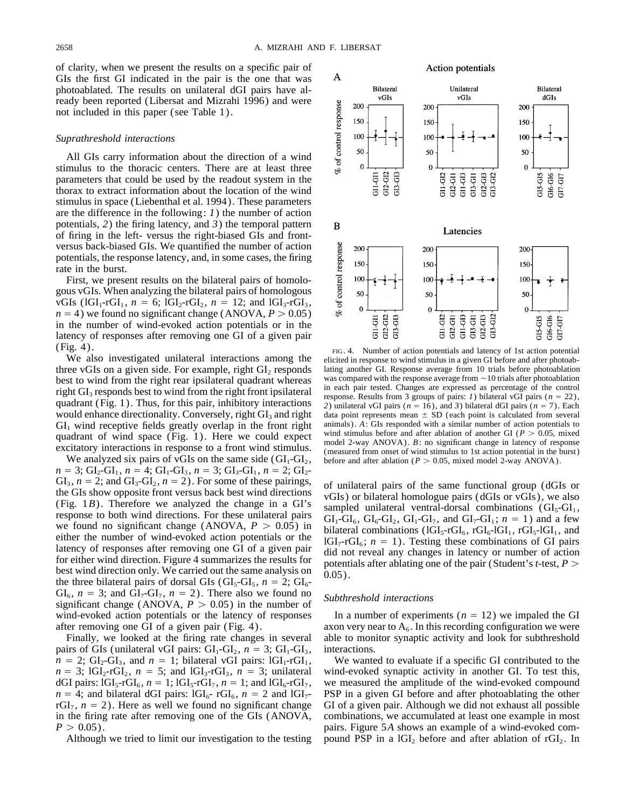of clarity, when we present the results on a specific pair of GIs the first GI indicated in the pair is the one that was photoablated. The results on unilateral dGI pairs have already been reported (Libersat and Mizrahi 1996) and were not included in this paper (see Table 1).

### *Suprathreshold interactions*

All GIs carry information about the direction of a wind stimulus to the thoracic centers. There are at least three parameters that could be used by the readout system in the thorax to extract information about the location of the wind stimulus in space (Liebenthal et al. 1994). These parameters are the difference in the following: *1*) the number of action potentials, *2*) the firing latency, and *3*) the temporal pattern of firing in the left- versus the right-biased GIs and frontversus back-biased GIs. We quantified the number of action potentials, the response latency, and, in some cases, the firing rate in the burst.

First, we present results on the bilateral pairs of homologous vGIs. When analyzing the bilateral pairs of homologous vGIs ( $1 \text{GI}_1$ -rGI<sub>1</sub>, *n* = 6;  $1 \text{GI}_2$ -rGI<sub>2</sub>, *n* = 12; and  $1 \text{GI}_3$ -rGI<sub>3</sub>,  $n = 4$ ) we found no significant change (ANOVA,  $P > 0.05$ ) in the number of wind-evoked action potentials or in the latency of responses after removing one GI of a given pair

three vGIs on a given side. For example, right  $GI_2$  responds lating another GI. Response average from 10 trials before photoablation best to wind from the right rear insilateral quadrant whereas was compared with the res best to wind from the right rear ipsilateral quadrant whereas<br>right GI<sub>3</sub> responds best to wind from the right front ipsilateral<br>right scale in each pair tested. Changes are expressed as percentage of the control<br>quadrant would enhance directionality. Conversely, right  $GI_3$  and right data point represents mean  $\pm$  SD (each point is calculated from several  $GI_1$  wind receptive fields greatly overlap in the front right animals). A: GIs res

 $n = 3$ ; GI<sub>2</sub>-GI<sub>1</sub>,  $n = 4$ ; GI<sub>1</sub>-GI<sub>3</sub>,  $n = 3$ ; GI<sub>3</sub>-GI<sub>1</sub>,  $n = 2$ ; GI<sub>2</sub>-GI<sub>3</sub>,  $n = 2$ ; and GI<sub>3</sub>-GI<sub>2</sub>,  $n = 2$ ). For some of these pairings, of unilateral pairs of the same functional group (dGIs or the GIs show opposite front versus back best wind directions vGIs) or bilateral homologue pair for either wind direction. Figure 4 summarizes the results for potentials after ablating one of the pair (Student's *t*-test,  $P >$  best wind direction only. We carried out the same analysis on  $0.05$ ).<br>the three bilateral  $GI_6$ ,  $n = 3$ ; and  $GI_7\text{-}GI_7$ ,  $n = 2$ ). There also we found no *Subthreshold interactions* significant change (ANOVA,  $P > 0.05$ ) in the number of wind-evoked action potentials or the latency of responses In a number of experiments  $(n = 12)$  we impaled the GI

pairs of GIs (unilateral vGI pairs:  $GI_1-GI_2$ ,  $n = 3$ ;  $GI_1-GI_3$ , interactions.  $n = 2$ ; GI<sub>2</sub>-GI<sub>3</sub>, and  $n = 1$ ; bilateral vGI pairs: lGI<sub>1</sub>-rGI<sub>1</sub>, We wanted to evaluate if a specific GI contributed to the  $n = 3$ ; lGI<sub>2</sub>-rGI<sub>2</sub>,  $n = 5$ ; and lGI<sub>3</sub>-rGI<sub>3</sub>,  $n = 3$ ; unilateral wind-evoked synaptic acti  $n = 3$ ; lGI<sub>2</sub>-rGI<sub>2</sub>,  $n = 5$ ; and lGI<sub>3</sub>-rGI<sub>3</sub>,  $n = 3$ ; unilateral dGI pairs:  $IGI_5-IGI_6$ ,  $n = 1$ ;  $IGI_5-IGI_7$ ,  $n = 1$ ; and  $IGI_6-IGI_7$ , we measured the amplitude of the wind-evoked compound  $n = 4$ ; and bilateral dGI pairs:  $1GI_6 - rGI_6$ ,  $n = 2$  and  $1GI_7$ - PSP in a given GI before and after photoablating the other  $rGI_7$ ,  $n = 2$ ). Here as well we found no significant change GI of a given pair. Although we did in the firing rate after removing one of the GIs (ANOVA, combinations, we accumulated at least one example in most  $P > 0.05$ ). pairs. Figure 5*A* shows an example of a wind-evoked com-

### **Action potentials**



(Fig. 4).<br>We also investigated unilateral interactions among the elicited in response to wind stimulus in a given GI before and after photoab-<br>three vGIs on a given side. For example, right GI, responds lating another GI. quadrant of wind space (Fig. 1). Here we could expect wind stimulus before and after ablation of another GI ( $P > 0.05$ , mixed model 2-way ANOVA). B: no significant change in latency of response excitatory interactions in

after removing one GI of a given pair (Fig. 4). axon very near to  $A_6$ . In this recording configuration we were<br>Finally, we looked at the firing rate changes in several able to monitor synaptic activity and look for subt able to monitor synaptic activity and look for subthreshold

GI of a given pair. Although we did not exhaust all possible Although we tried to limit our investigation to the testing pound PSP in a  $IGI_2$  before and after ablation of  $rGI_2$ . In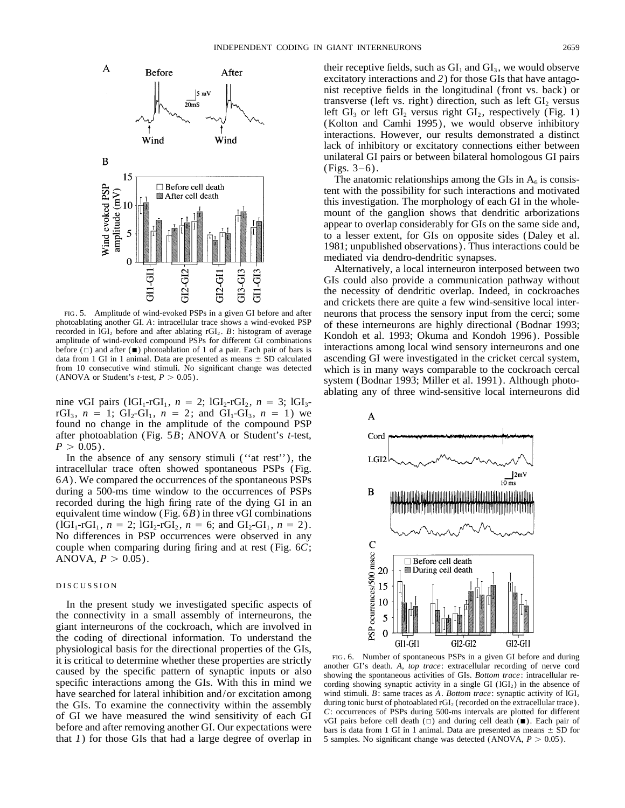

photoablating another GI. A: intracellular trace shows a wind-evoked PSP<br>recorded in IGI<sub>2</sub> before and after ablating rGI<sub>2</sub>. B: histogram of average<br>amplitude of wind-evoked compound PSPs for different GI combinations<br>mul before  $(\Box)$  and after ( $\blacksquare$ ) photoablation of 1 of a pair. Each pair of bars is interactions among local wind sensory interneurons and one data from 1 GI in 1 animal. Data are presented as means  $\pm$  SD calculated ascending GI were investigated in the cricket cercal system, from 10 consecutive wind stimuli. No significant change was detected which is in many

nine vGI pairs ( $1 \text{GI}_1\text{-}r\text{GI}_1$ ,  $n = 2$ ;  $1 \text{GI}_2\text{-}r\text{GI}_2$ ,  $n = 3$ ;  $1 \text{GI}_3$ rGI<sub>3</sub>,  $n = 1$ ; GI<sub>2</sub>-GI<sub>1</sub>,  $n = 2$ ; and GI<sub>1</sub>-GI<sub>3</sub>,  $n = 1$ ) we found no change in the amplitude of the compound PSP after photoablation (Fig. 5*B*; ANOVA or Student's *t*-test,  $P > 0.05$ ).

In the absence of any sensory stimuli (''at rest''), the intracellular trace often showed spontaneous PSPs (Fig. 6*A*). We compared the occurrences of the spontaneous PSPs during a 500-ms time window to the occurrences of PSPs recorded during the high firing rate of the dying GI in an equivalent time window (Fig. 6*B*) in three vGI combinations  $(lGI_1-rGI_1, n = 2; IGI_2-rGI_2, n = 6; and GI_2-GI_1, n = 2).$ No differences in PSP occurrences were observed in any couple when comparing during firing and at rest (Fig. 6*C*; ANOVA,  $P > 0.05$ ).

### DISCUSSION

In the present study we investigated specific aspects of the connectivity in a small assembly of interneurons, the giant interneurons of the cockroach, which are involved in the coding of directional information. To understand the physiological basis for the directional properties of the GIs,<br>it is critical to determine whether these properties are strictly<br>caused by the specific pattern of synaptic inputs or also<br>specific interactions among the GIs have searched for lateral inhibition and/or excitation among wind stimuli. *B*: same traces as *A*. *Bottom trace*: synaptic activity of lGI<sub>2</sub> the GIs. To examine the connectivity within the assembly during tonic burst of the GIs. To examine the connectivity within the assembly<br>of GI we have measured the wind sensitivity of each GI<br>of GI we have measured the wind sensitivity of each GI<br>of GI pairs before cell death  $(\square)$  and during cell de that *1*) for those GIs that had a large degree of overlap in 5 samples. No significant change was detected (ANOVA,  $P > 0.05$ ).

their receptive fields, such as  $GI_1$  and  $GI_3$ , we would observe excitatory interactions and *2*) for those GIs that have antagonist receptive fields in the longitudinal (front vs. back) or transverse (left vs. right) direction, such as left  $GI<sub>2</sub>$  versus left  $GI_3$  or left  $GI_2$  versus right  $GI_2$ , respectively (Fig. 1) (Kolton and Camhi 1995), we would observe inhibitory interactions. However, our results demonstrated a distinct lack of inhibitory or excitatory connections either between unilateral GI pairs or between bilateral homologous GI pairs (Figs. 3–6).

The anatomic relationships among the GIs in  $A_6$  is consistent with the possibility for such interactions and motivated this investigation. The morphology of each GI in the wholemount of the ganglion shows that dendritic arborizations appear to overlap considerably for GIs on the same side and, to a lesser extent, for GIs on opposite sides (Daley et al. 1981; unpublished observations). Thus interactions could be mediated via dendro-dendritic synapses.

Alternatively, a local interneuron interposed between two GIs could also provide a communication pathway without the necessity of dendritic overlap. Indeed, in cockroaches and crickets there are quite a few wind-sensitive local inter- FIG. 5. Amplitude of wind-evoked PSPs in a given GI before and after neurons that process the sensory input from the cerci; some photoablating another GI. A: intracellular trace shows a wind-evoked PSP of these interneuro from 10 consecutive wind stimuli. No significant change was detected which is in many ways comparable to the cockroach cercal (ANOVA or Student's *t*-test,  $P > 0.05$ ).<br>system (Bodnar 1993; Miller et al. 1991). Although ph ablating any of three wind-sensitive local interneurons did



cording showing synaptic activity in a single GI (lGI<sub>2</sub>) in the absence of wind stimuli. B: same traces as A. Bottom trace: synaptic activity of lGI<sub>2</sub>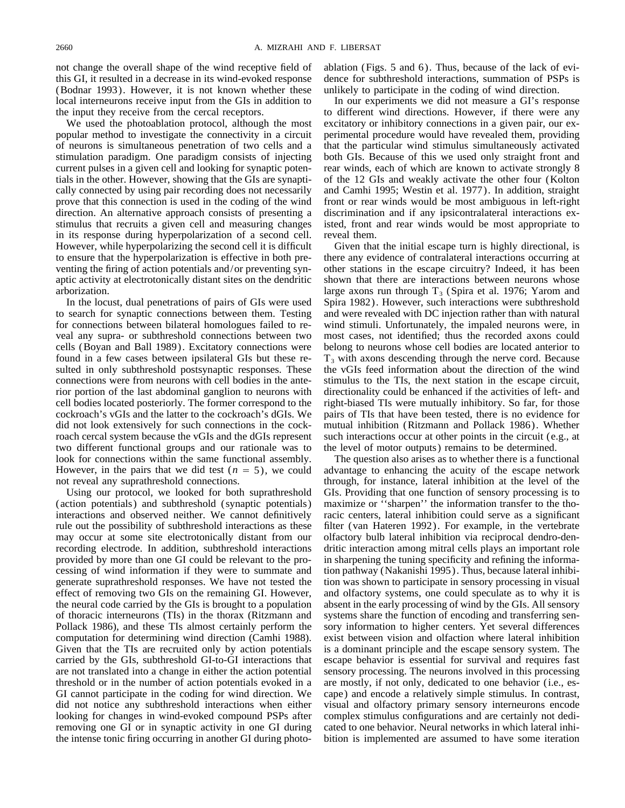this GI, it resulted in a decrease in its wind-evoked response dence for subthreshold interactions, summation of PSPs is (Bodnar 1993). However, it is not known whether these unlikely to participate in the coding of wind direction. local interneurons receive input from the GIs in addition to In our experiments we did not measure a GI's response the input they receive from the cercal receptors. to different wind directions. However, if there were any

popular method to investigate the connectivity in a circuit perimental procedure would have revealed them, providing of neurons is simultaneous penetration of two cells and a that the particular wind stimulus simultaneously activated stimulation paradigm. One paradigm consists of injecting both GIs. Because of this we used only straight front and current pulses in a given cell and looking for synaptic poten- rear winds, each of which are known to activate strongly 8 tials in the other. However, showing that the GIs are synapti- of the 12 GIs and weakly activate the other four (Kolton cally connected by using pair recording does not necessarily and Camhi 1995; Westin et al. 1977). In addition, straight prove that this connection is used in the coding of the wind front or rear winds would be most ambiguous in left-right direction. An alternative approach consists of presenting a discrimination and if any ipsicontralateral interactions exstimulus that recruits a given cell and measuring changes isted, front and rear winds would be most appropriate to in its response during hyperpolarization of a second cell. reveal them. However, while hyperpolarizing the second cell it is difficult Given that the initial escape turn is highly directional, is to ensure that the hyperpolarization is effective in both pre- there any evidence of contralateral interactions occurring at venting the firing of action potentials and/or preventing syn- other stations in the escape circuitry? Indeed, it has been aptic activity at electrotonically distant sites on the dendritic shown that there are interactions between neurons whose

sulted in only subthreshold postsynaptic responses. These connections were from neurons with cell bodies in the ante- stimulus to the TIs, the next station in the escape circuit, two different functional groups and our rationale was to the level of motor outputs) remains to be determined.

(action potentials) and subthreshold (synaptic potentials) maximize or ''sharpen'' the information transfer to the thointeractions and observed neither. We cannot definitively racic centers, lateral inhibition could serve as a significant rule out the possibility of subthreshold interactions as these filter (van Hateren 1992). For example, in the vertebrate may occur at some site electrotonically distant from our olfactory bulb lateral inhibition via reciprocal dendro-denrecording electrode. In addition, subthreshold interactions dritic interaction among mitral cells plays an important role provided by more than one GI could be relevant to the pro- in sharpening the tuning specificity and refining the informacessing of wind information if they were to summate and tion pathway (Nakanishi 1995). Thus, because lateral inhibigenerate suprathreshold responses. We have not tested the tion was shown to participate in sensory processing in visual effect of removing two GIs on the remaining GI. However, and olfactory systems, one could speculate as to why it is the neural code carried by the GIs is brought to a population absent in the early processing of wind by the GIs. All sensory of thoracic interneurons (TIs) in the thorax (Ritzmann and systems share the function of encoding and transferring sen-Pollack 1986), and these TIs almost certainly perform the sory information to higher centers. Yet several differences computation for determining wind direction (Camhi 1988). exist between vision and olfaction where lateral inhibition Given that the TIs are recruited only by action potentials is a dominant principle and the escape sensory system. The carried by the GIs, subthreshold GI-to-GI interactions that escape behavior is essential for survival and requires fast are not translated into a change in either the action potential sensory processing. The neurons involved in this processing threshold or in the number of action potentials evoked in a are mostly, if not only, dedicated to one behavior (i.e., es-GI cannot participate in the coding for wind direction. We cape) and encode a relatively simple stimulus. In contrast, did not notice any subthreshold interactions when either visual and olfactory primary sensory interneurons encode looking for changes in wind-evoked compound PSPs after complex stimulus configurations and are certainly not dediremoving one GI or in synaptic activity in one GI during cated to one behavior. Neural networks in which lateral inhi-

not change the overall shape of the wind receptive field of ablation (Figs. 5 and 6). Thus, because of the lack of evi-

We used the photoablation protocol, although the most excitatory or inhibitory connections in a given pair, our ex-

arborization. large axons run through  $T_3$  (Spira et al. 1976; Yarom and In the locust, dual penetrations of pairs of GIs were used Spira 1982). However, such interactions were subthreshold to search for synaptic connections between them. Testing and were revealed with DC injection rather than with natural for connections between bilateral homologues failed to re- wind stimuli. Unfortunately, the impaled neurons were, in veal any supra- or subthreshold connections between two most cases, not identified; thus the recorded axons could cells (Boyan and Ball 1989). Excitatory connections were belong to neurons whose cell bodies are located anterior to found in a few cases between ipsilateral GIs but these re- $T_3$  with axons descending through the nerve cord. Because sulted in only subthreshold postsynaptic responses. These the vGIs feed information about the direction rior portion of the last abdominal ganglion to neurons with directionality could be enhanced if the activities of left- and cell bodies located posteriorly. The former correspond to the right-biased TIs were mutually inhibitory. So far, for those cockroach's vGIs and the latter to the cockroach's dGIs. We pairs of TIs that have been tested, there is no evidence for did not look extensively for such connections in the cock- mutual inhibition (Ritzmann and Pollack 1986). Whether roach cercal system because the vGIs and the dGIs represent such interactions occur at other points in the circuit (e.g., at

look for connections within the same functional assembly. The question also arises as to whether there is a functional However, in the pairs that we did test  $(n = 5)$ , we could advantage to enhancing the acuity of the escape network not reveal any suprathreshold connections. through, for instance, lateral inhibition at the level of the Using our protocol, we looked for both suprathreshold GIs. Providing that one function of sensory processing is to the intense tonic firing occurring in another GI during photo- bition is implemented are assumed to have some iteration